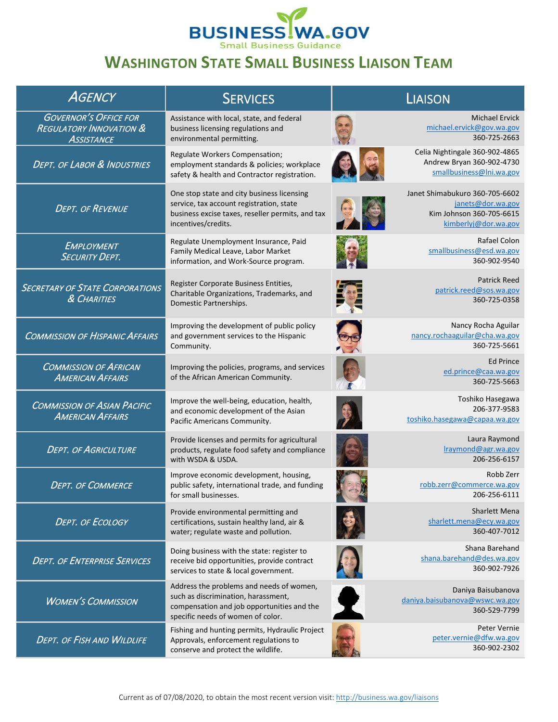

## **WASHINGTON STATE SMALL BUSINESS LIAISON TEAM**

| <b>AGENCY</b>                                                                           | <b>SERVICES</b>                                                                                                                                                    | <b>LIAISON</b>                                                                                          |
|-----------------------------------------------------------------------------------------|--------------------------------------------------------------------------------------------------------------------------------------------------------------------|---------------------------------------------------------------------------------------------------------|
| <b>GOVERNOR'S OFFICE FOR</b><br><b>REGULATORY INNOVATION &amp;</b><br><b>ASSISTANCE</b> | Assistance with local, state, and federal<br>business licensing regulations and<br>environmental permitting.                                                       | <b>Michael Ervick</b><br>michael.ervick@gov.wa.gov<br>360-725-2663                                      |
| <b>DEPT. OF LABOR &amp; INDUSTRIES</b>                                                  | Regulate Workers Compensation;<br>employment standards & policies; workplace<br>safety & health and Contractor registration.                                       | Celia Nightingale 360-902-4865<br>Andrew Bryan 360-902-4730<br>smallbusiness@lni.wa.gov                 |
| <b>DEPT. OF REVENUE</b>                                                                 | One stop state and city business licensing<br>service, tax account registration, state<br>business excise taxes, reseller permits, and tax<br>incentives/credits.  | Janet Shimabukuro 360-705-6602<br>janets@dor.wa.gov<br>Kim Johnson 360-705-6615<br>kimberlyj@dor.wa.gov |
| EMPLOYMENT<br><b>SECURITY DEPT.</b>                                                     | Regulate Unemployment Insurance, Paid<br>Family Medical Leave, Labor Market<br>information, and Work-Source program.                                               | Rafael Colon<br>smallbusiness@esd.wa.gov<br>360-902-9540                                                |
| <b>SECRETARY OF STATE CORPORATIONS</b><br>& CHARITIES                                   | Register Corporate Business Entities,<br>Charitable Organizations, Trademarks, and<br>Domestic Partnerships.                                                       | <b>Patrick Reed</b><br>patrick.reed@sos.wa.gov<br>360-725-0358                                          |
| <b>COMMISSION OF HISPANIC AFFAIRS</b>                                                   | Improving the development of public policy<br>and government services to the Hispanic<br>Community.                                                                | Nancy Rocha Aguilar<br>nancy.rochaaguilar@cha.wa.gov<br>360-725-5661                                    |
| <b>COMMISSION OF AFRICAN</b><br><b>AMERICAN AFFAIRS</b>                                 | Improving the policies, programs, and services<br>of the African American Community.                                                                               | <b>Ed Prince</b><br>ed.prince@caa.wa.gov<br>360-725-5663                                                |
| <b>COMMISSION OF ASIAN PACIFIC</b><br><b>AMERICAN AFFAIRS</b>                           | Improve the well-being, education, health,<br>and economic development of the Asian<br>Pacific Americans Community.                                                | Toshiko Hasegawa<br>206-377-9583<br>toshiko.hasegawa@capaa.wa.gov                                       |
| <b>DEPT. OF AGRICULTURE</b>                                                             | Provide licenses and permits for agricultural<br>products, regulate food safety and compliance<br>with WSDA & USDA.                                                | Laura Raymond<br>Iraymond@agr.wa.gov<br>206-256-6157                                                    |
| <b>DEPT. OF COMMERCE</b>                                                                | Improve economic development, housing,<br>public safety, international trade, and funding<br>for small businesses.                                                 | Robb Zerr<br>robb.zerr@commerce.wa.gov<br>206-256-6111                                                  |
| <b>DEPT. OF ECOLOGY</b>                                                                 | Provide environmental permitting and<br>certifications, sustain healthy land, air &<br>water; regulate waste and pollution.                                        | Sharlett Mena<br>sharlett.mena@ecy.wa.gov<br>360-407-7012                                               |
| <b>DEPT. OF ENTERPRISE SERVICES</b>                                                     | Doing business with the state: register to<br>receive bid opportunities, provide contract<br>services to state & local government.                                 | Shana Barehand<br>shana.barehand@des.wa.gov<br>360-902-7926                                             |
| <b>WOMEN'S COMMISSION</b>                                                               | Address the problems and needs of women,<br>such as discrimination, harassment,<br>compensation and job opportunities and the<br>specific needs of women of color. | Daniya Baisubanova<br>daniya.baisubanova@wswc.wa.gov<br>360-529-7799                                    |
| <b>DEPT. OF FISH AND WILDLIFE</b>                                                       | Fishing and hunting permits, Hydraulic Project<br>Approvals, enforcement regulations to<br>conserve and protect the wildlife.                                      | Peter Vernie<br>peter.vernie@dfw.wa.gov<br>360-902-2302                                                 |